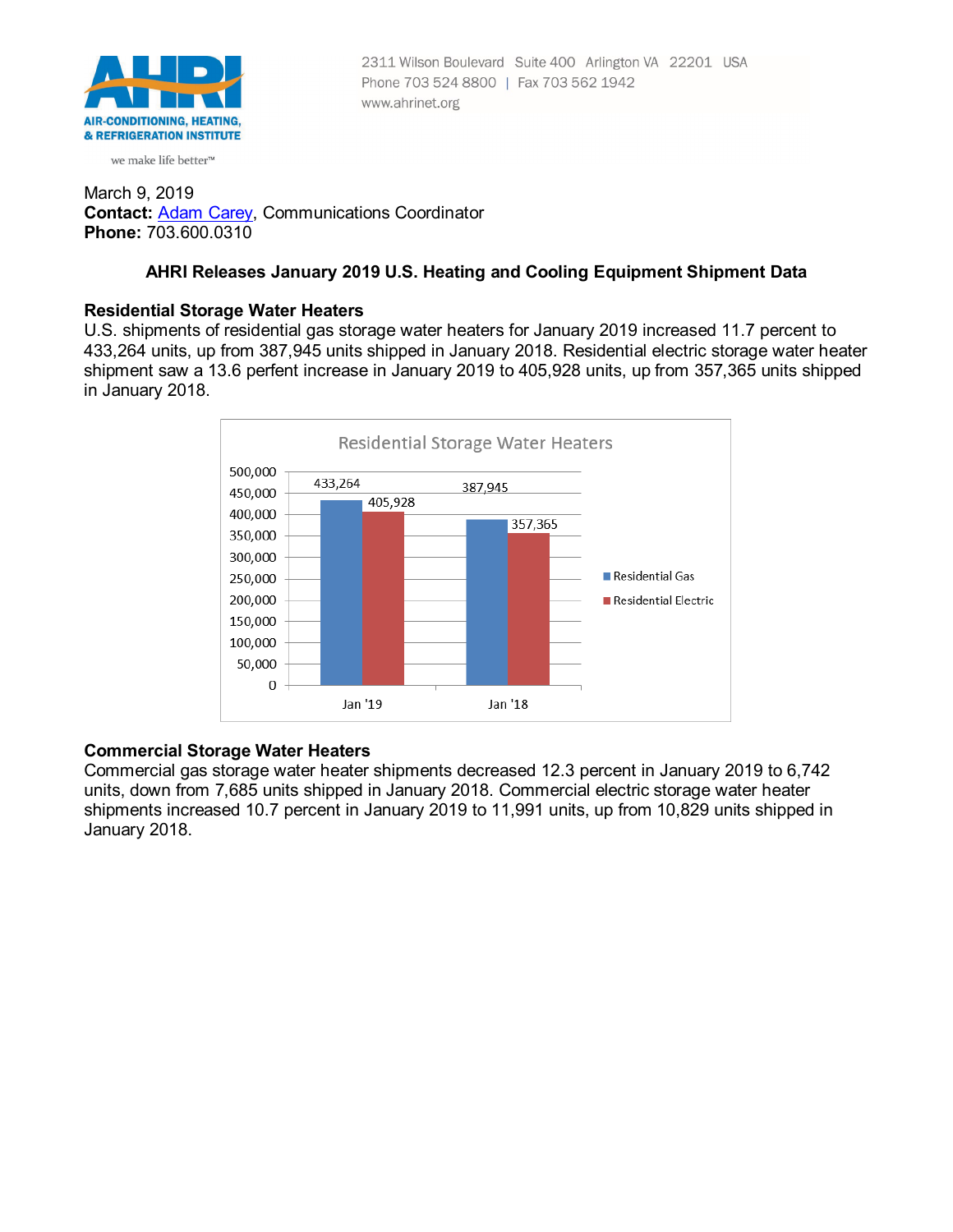

we make life better<sup>™</sup>

#### March 9, 2019 **Contact:** [Adam Carey,](mailto:ACarey@ahrinet.org) Communications Coordinator **Phone:** 703.600.0310

# **AHRI Releases January 2019 U.S. Heating and Cooling Equipment Shipment Data**

#### **Residential Storage Water Heaters**

U.S. shipments of residential gas storage water heaters for January 2019 increased 11.7 percent to 433,264 units, up from 387,945 units shipped in January 2018. Residential electric storage water heater shipment saw a 13.6 perfent increase in January 2019 to 405,928 units, up from 357,365 units shipped in January 2018.



# **Commercial Storage Water Heaters**

Commercial gas storage water heater shipments decreased 12.3 percent in January 2019 to 6,742 units, down from 7,685 units shipped in January 2018. Commercial electric storage water heater shipments increased 10.7 percent in January 2019 to 11,991 units, up from 10,829 units shipped in January 2018.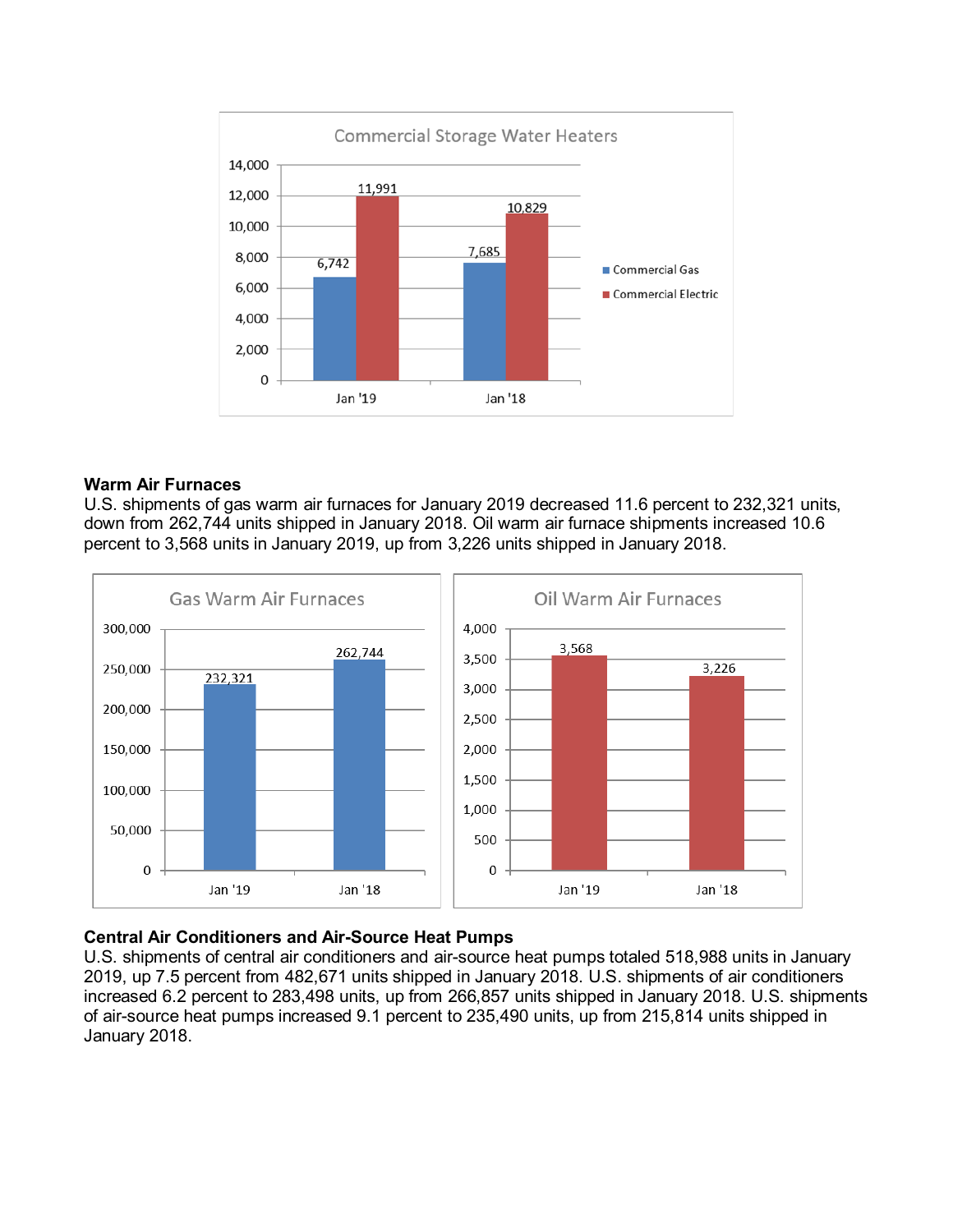

# **Warm Air Furnaces**

U.S. shipments of gas warm air furnaces for January 2019 decreased 11.6 percent to 232,321 units, down from 262,744 units shipped in January 2018. Oil warm air furnace shipments increased 10.6 percent to 3,568 units in January 2019, up from 3,226 units shipped in January 2018.



# **Central Air Conditioners and Air-Source Heat Pumps**

U.S. shipments of central air conditioners and air-source heat pumps totaled 518,988 units in January 2019, up 7.5 percent from 482,671 units shipped in January 2018. U.S. shipments of air conditioners increased 6.2 percent to 283,498 units, up from 266,857 units shipped in January 2018. U.S. shipments of air-source heat pumps increased 9.1 percent to 235,490 units, up from 215,814 units shipped in January 2018.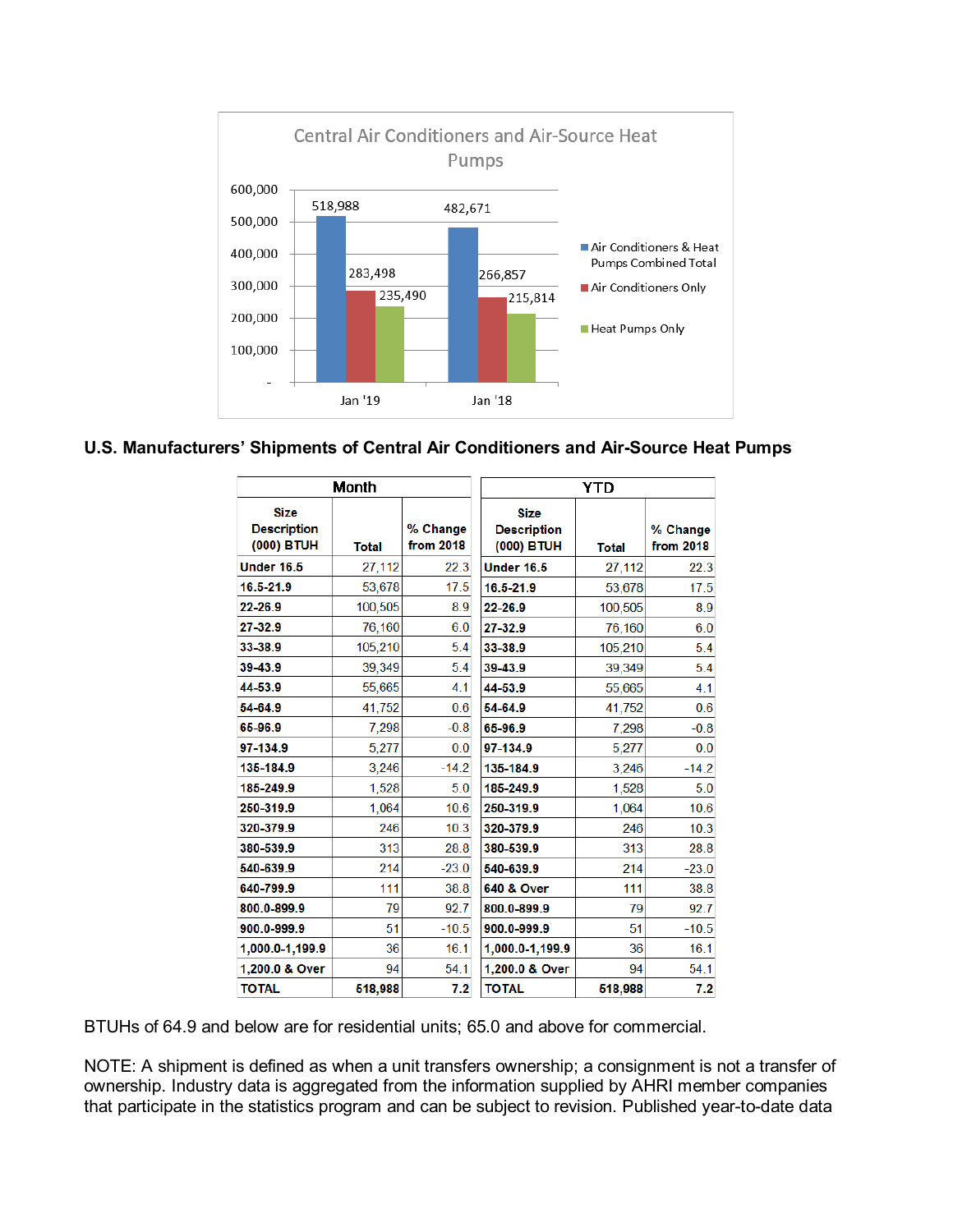

# **U.S. Manufacturers' Shipments of Central Air Conditioners and Air-Source Heat Pumps**

| Month                                           |              |                       | <b>YTD</b>                                      |              |                       |
|-------------------------------------------------|--------------|-----------------------|-------------------------------------------------|--------------|-----------------------|
| <b>Size</b><br><b>Description</b><br>(000) BTUH | <b>Total</b> | % Change<br>from 2018 | <b>Size</b><br><b>Description</b><br>(000) BTUH | <b>Total</b> | % Change<br>from 2018 |
| <b>Under 16.5</b>                               | 27,112       | 22.3                  | <b>Under 16.5</b>                               | 27,112       | 22.3                  |
| 16.5-21.9                                       | 53,678       | 17.5                  | 16.5-21.9                                       | 53,678       | 17.5                  |
| 22-26.9                                         | 100,505      | 8.9                   | 22-26.9                                         | 100,505      | 8.9                   |
| 27-32.9                                         | 76,160       | 6.0                   | 27-32.9                                         | 76,160       | 6.0                   |
| 33-38.9                                         | 105,210      | 5.4                   | 33-38.9                                         | 105,210      | 5.4                   |
| 39-43.9                                         | 39,349       | 5.4                   | 39-43.9                                         | 39,349       | 5.4                   |
| 44-53.9                                         | 55,665       | 4.1                   | 44-53.9                                         | 55,665       | 4.1                   |
| 54-64.9                                         | 41,752       | 0.6                   | 54-64.9                                         | 41,752       | 0.6                   |
| 65-96.9                                         | 7,298        | $-0.8$                | 65-96.9                                         | 7,298        | $-0.8$                |
| 97-134.9                                        | 5,277        | 0.0                   | 97-134.9                                        | 5,277        | 0.0                   |
| 135-184.9                                       | 3.246        | $-14.2$               | 135-184.9                                       | 3,246        | $-14.2$               |
| 185-249.9                                       | 1,528        | 5.0                   | 185-249.9                                       | 1,528        | 5.0                   |
| 250-319.9                                       | 1,064        | 10.6                  | 250-319.9                                       | 1,064        | 10.6                  |
| 320-379.9                                       | 246          | 10.3                  | 320-379.9                                       | 246          | 10.3                  |
| 380-539.9                                       | 313          | 28.8                  | 380-539.9                                       | 313          | 28.8                  |
| 540-639.9                                       | 214          | $-23.0$               | 540-639.9                                       | 214          | $-23.0$               |
| 640-799.9                                       | 111          | 38.8                  | <b>640 &amp; Over</b>                           | 111          | 38.8                  |
| 800.0-899.9                                     | 79           | 92.7                  | 800.0-899.9                                     | 79           | 92.7                  |
| 900.0-999.9                                     | 51           | $-10.5$               | 900.0-999.9                                     | 51           | $-10.5$               |
| 1,000.0-1,199.9                                 | 36           | 16.1                  | 1,000.0-1,199.9                                 | 36           | 16.1                  |
| 1,200.0 & Over                                  | 94           | 54.1                  | 1,200.0 & Over                                  | 94           | 54.1                  |
| <b>TOTAL</b>                                    | 518,988      | 7.2                   | <b>TOTAL</b>                                    | 518,988      | 7.2                   |

BTUHs of 64.9 and below are for residential units; 65.0 and above for commercial.

NOTE: A shipment is defined as when a unit transfers ownership; a consignment is not a transfer of ownership. Industry data is aggregated from the information supplied by AHRI member companies that participate in the statistics program and can be subject to revision. Published year-to-date data